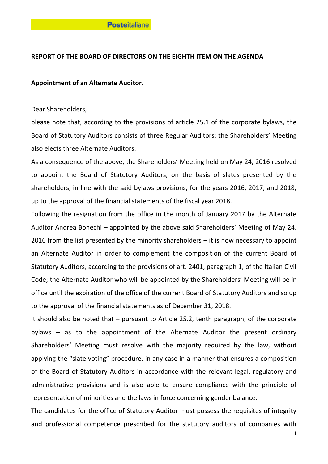# **REPORT OF THE BOARD OF DIRECTORS ON THE EIGHTH ITEM ON THE AGENDA**

### **Appointment of an Alternate Auditor.**

Dear Shareholders,

please note that, according to the provisions of article 25.1 of the corporate bylaws, the Board of Statutory Auditors consists of three Regular Auditors; the Shareholders' Meeting also elects three Alternate Auditors.

As a consequence of the above, the Shareholders' Meeting held on May 24, 2016 resolved to appoint the Board of Statutory Auditors, on the basis of slates presented by the shareholders, in line with the said bylaws provisions, for the years 2016, 2017, and 2018, up to the approval of the financial statements of the fiscal year 2018.

Following the resignation from the office in the month of January 2017 by the Alternate Auditor Andrea Bonechi – appointed by the above said Shareholders' Meeting of May 24, 2016 from the list presented by the minority shareholders – it is now necessary to appoint an Alternate Auditor in order to complement the composition of the current Board of Statutory Auditors, according to the provisions of art. 2401, paragraph 1, of the Italian Civil Code; the Alternate Auditor who will be appointed by the Shareholders' Meeting will be in office until the expiration of the office of the current Board of Statutory Auditors and so up to the approval of the financial statements as of December 31, 2018.

It should also be noted that – pursuant to Article 25.2, tenth paragraph, of the corporate bylaws – as to the appointment of the Alternate Auditor the present ordinary Shareholders' Meeting must resolve with the majority required by the law, without applying the "slate voting" procedure, in any case in a manner that ensures a composition of the Board of Statutory Auditors in accordance with the relevant legal, regulatory and administrative provisions and is also able to ensure compliance with the principle of representation of minorities and the laws in force concerning gender balance.

The candidates for the office of Statutory Auditor must possess the requisites of integrity and professional competence prescribed for the statutory auditors of companies with

1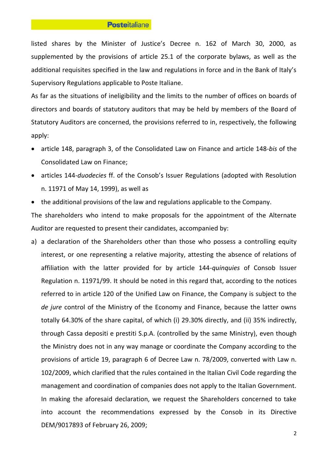#### **Posteitaliane**

listed shares by the Minister of Justice's Decree n. 162 of March 30, 2000, as supplemented by the provisions of article 25.1 of the corporate bylaws, as well as the additional requisites specified in the law and regulations in force and in the Bank of Italy's Supervisory Regulations applicable to Poste Italiane.

As far as the situations of ineligibility and the limits to the number of offices on boards of directors and boards of statutory auditors that may be held by members of the Board of Statutory Auditors are concerned, the provisions referred to in, respectively, the following apply:

- article 148, paragraph 3, of the Consolidated Law on Finance and article 148-*bis* of the Consolidated Law on Finance;
- articles 144-*duodecies* ff. of the Consob's Issuer Regulations (adopted with Resolution n. 11971 of May 14, 1999), as well as
- the additional provisions of the law and regulations applicable to the Company.

The shareholders who intend to make proposals for the appointment of the Alternate Auditor are requested to present their candidates, accompanied by:

a) a declaration of the Shareholders other than those who possess a controlling equity interest, or one representing a relative majority, attesting the absence of relations of affiliation with the latter provided for by article 144-*quinquies* of Consob Issuer Regulation n. 11971/99. It should be noted in this regard that, according to the notices referred to in article 120 of the Unified Law on Finance, the Company is subject to the *de jure* control of the Ministry of the Economy and Finance, because the latter owns totally 64.30% of the share capital, of which (i) 29.30% directly, and (ii) 35% indirectly, through Cassa depositi e prestiti S.p.A. (controlled by the same Ministry), even though the Ministry does not in any way manage or coordinate the Company according to the provisions of article 19, paragraph 6 of Decree Law n. 78/2009, converted with Law n. 102/2009, which clarified that the rules contained in the Italian Civil Code regarding the management and coordination of companies does not apply to the Italian Government. In making the aforesaid declaration, we request the Shareholders concerned to take into account the recommendations expressed by the Consob in its Directive DEM/9017893 of February 26, 2009;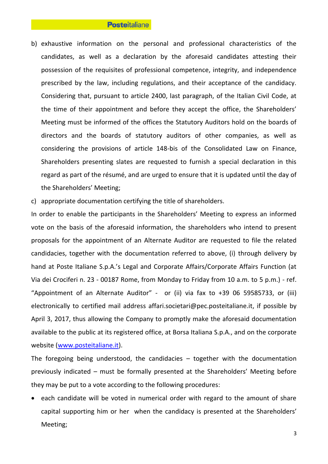#### **Posteitaliane**

- b) exhaustive information on the personal and professional characteristics of the candidates, as well as a declaration by the aforesaid candidates attesting their possession of the requisites of professional competence, integrity, and independence prescribed by the law, including regulations, and their acceptance of the candidacy. Considering that, pursuant to article 2400, last paragraph, of the Italian Civil Code, at the time of their appointment and before they accept the office, the Shareholders' Meeting must be informed of the offices the Statutory Auditors hold on the boards of directors and the boards of statutory auditors of other companies, as well as considering the provisions of article 148-bis of the Consolidated Law on Finance, Shareholders presenting slates are requested to furnish a special declaration in this regard as part of the résumé, and are urged to ensure that it is updated until the day of the Shareholders' Meeting;
- c) appropriate documentation certifying the title of shareholders.

In order to enable the participants in the Shareholders' Meeting to express an informed vote on the basis of the aforesaid information, the shareholders who intend to present proposals for the appointment of an Alternate Auditor are requested to file the related candidacies, together with the documentation referred to above, (i) through delivery by hand at Poste Italiane S.p.A.'s Legal and Corporate Affairs/Corporate Affairs Function (at Via dei Crociferi n. 23 - 00187 Rome, from Monday to Friday from 10 a.m. to 5 p.m.) - ref. "Appointment of an Alternate Auditor" - or (ii) via fax to +39 06 59585733, or (iii) electronically to certified mail address affari.societari@pec.posteitaliane.it, if possible by April 3, 2017, thus allowing the Company to promptly make the aforesaid documentation available to the public at its registered office, at Borsa Italiana S.p.A., and on the corporate website [\(www.posteitaliane.it\)](http://www.posteitaliane.it/).

The foregoing being understood, the candidacies – together with the documentation previously indicated – must be formally presented at the Shareholders' Meeting before they may be put to a vote according to the following procedures:

• each candidate will be voted in numerical order with regard to the amount of share capital supporting him or her when the candidacy is presented at the Shareholders' Meeting;